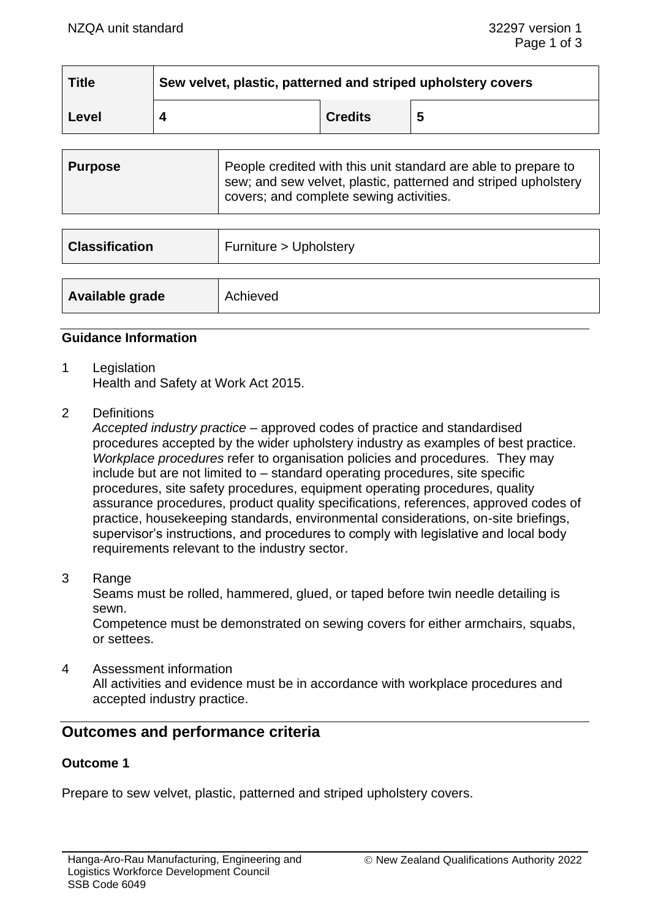| <b>Title</b> | Sew velvet, plastic, patterned and striped upholstery covers |                |    |
|--------------|--------------------------------------------------------------|----------------|----|
| Level        |                                                              | <b>Credits</b> | -5 |

| <b>Purpose</b> | People credited with this unit standard are able to prepare to<br>sew; and sew velvet, plastic, patterned and striped upholstery<br>covers; and complete sewing activities. |
|----------------|-----------------------------------------------------------------------------------------------------------------------------------------------------------------------------|
|                |                                                                                                                                                                             |

| <b>Classification</b> | Furniture > Upholstery |
|-----------------------|------------------------|
| Available grade       | Achieved               |

#### **Guidance Information**

- 1 Legislation Health and Safety at Work Act 2015.
- 2 Definitions

*Accepted industry practice* – approved codes of practice and standardised procedures accepted by the wider upholstery industry as examples of best practice. *Workplace procedures* refer to organisation policies and procedures. They may include but are not limited to – standard operating procedures, site specific procedures, site safety procedures, equipment operating procedures, quality assurance procedures, product quality specifications, references, approved codes of practice, housekeeping standards, environmental considerations, on-site briefings, supervisor's instructions, and procedures to comply with legislative and local body requirements relevant to the industry sector.

3 Range

Seams must be rolled, hammered, glued, or taped before twin needle detailing is sewn.

Competence must be demonstrated on sewing covers for either armchairs, squabs, or settees.

4 Assessment information All activities and evidence must be in accordance with workplace procedures and accepted industry practice.

# **Outcomes and performance criteria**

# **Outcome 1**

Prepare to sew velvet, plastic, patterned and striped upholstery covers.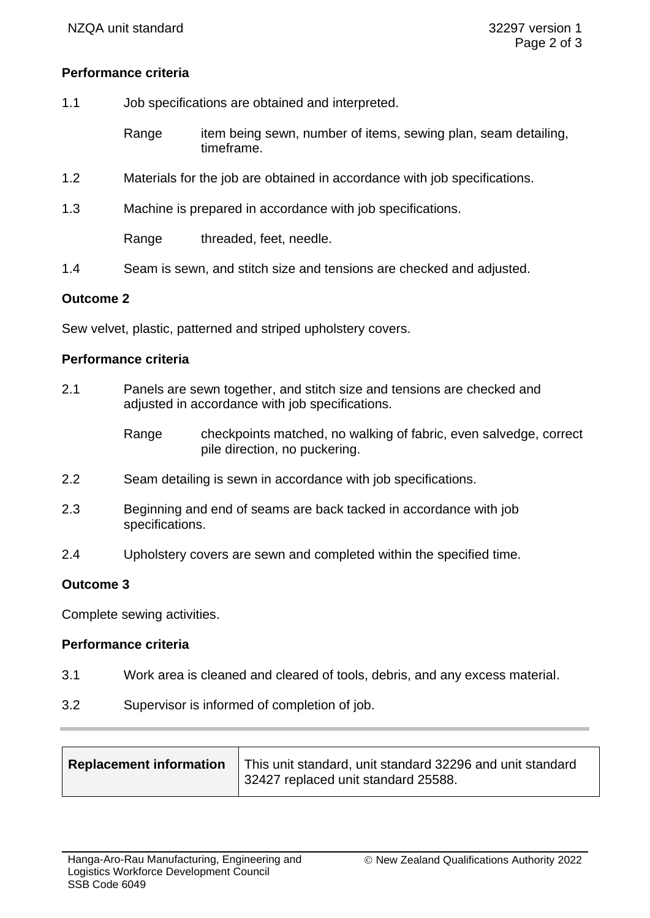## **Performance criteria**

- 1.1 Job specifications are obtained and interpreted.
	- Range item being sewn, number of items, sewing plan, seam detailing, timeframe.
- 1.2 Materials for the job are obtained in accordance with job specifications.
- 1.3 Machine is prepared in accordance with job specifications.

Range threaded, feet, needle.

1.4 Seam is sewn, and stitch size and tensions are checked and adjusted.

#### **Outcome 2**

Sew velvet, plastic, patterned and striped upholstery covers.

#### **Performance criteria**

- 2.1 Panels are sewn together, and stitch size and tensions are checked and adjusted in accordance with job specifications.
	- Range checkpoints matched, no walking of fabric, even salvedge, correct pile direction, no puckering.
- 2.2 Seam detailing is sewn in accordance with job specifications.
- 2.3 Beginning and end of seams are back tacked in accordance with job specifications.
- 2.4 Upholstery covers are sewn and completed within the specified time.

## **Outcome 3**

Complete sewing activities.

# **Performance criteria**

- 3.1 Work area is cleaned and cleared of tools, debris, and any excess material.
- 3.2 Supervisor is informed of completion of job.

| <b>Replacement information</b> | This unit standard, unit standard 32296 and unit standard<br>32427 replaced unit standard 25588. |
|--------------------------------|--------------------------------------------------------------------------------------------------|
|--------------------------------|--------------------------------------------------------------------------------------------------|